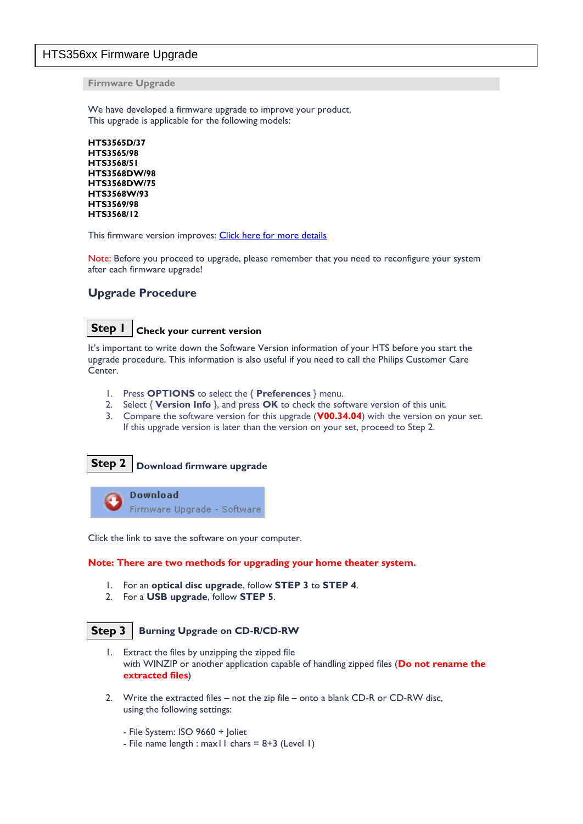## HTS356xx Firmware Upgrade

**Firmware Upgrade**

We have developed a firmware upgrade to improve your product. This upgrade is applicable for the following models:

**HTS3565D/37 HTS3565/98 HTS3568/51 HTS3568DW/98 HTS3568DW/75 HTS3568W/93 HTS3569/98 HTS3568/12**

This firmware version improves: [Click here for more details](#page-2-0)

Note: Before you proceed to upgrade, please remember that you need to reconfigure your system after each firmware upgrade!

## **Upgrade Procedure**

## **Step 1**

### **Check your current version**

It's important to write down the Software Version information of your HTS before you start the upgrade procedure. This information is also useful if you need to call the Philips Customer Care Center.

- 1. Press **OPTIONS** to select the { **Preferences** } menu.
- 2. Select { **Version Info** }, and press **OK** to check the software version of this unit.
- 3. Compare the software version for this upgrade (**V00.34.04**) with the version on your set. If this upgrade version is later than the version on your set, proceed to Step 2.

#### **Download firmware upgrade Step 2**

**Download** Firmware Upgrade - Software

Click the link to save the software on your computer.

#### **Note: There are two methods for upgrading your home theater system.**

- 1. For an **optical disc upgrade**, follow **STEP 3** to **STEP 4**.
- 2. For a **USB upgrade**, follow **STEP 5**.

#### **Burning Upgrade on CD-R/CD-RW Step 3**

- 1. Extract the files by unzipping the zipped file with WINZIP or another application capable of handling zipped files (**Do not rename the extracted files**)
- 2. Write the extracted files not the zip file onto a blank CD-R or CD-RW disc, using the following settings:
	- File System: ISO 9660 + Joliet
	- File name length : max11 chars =  $8+3$  (Level 1)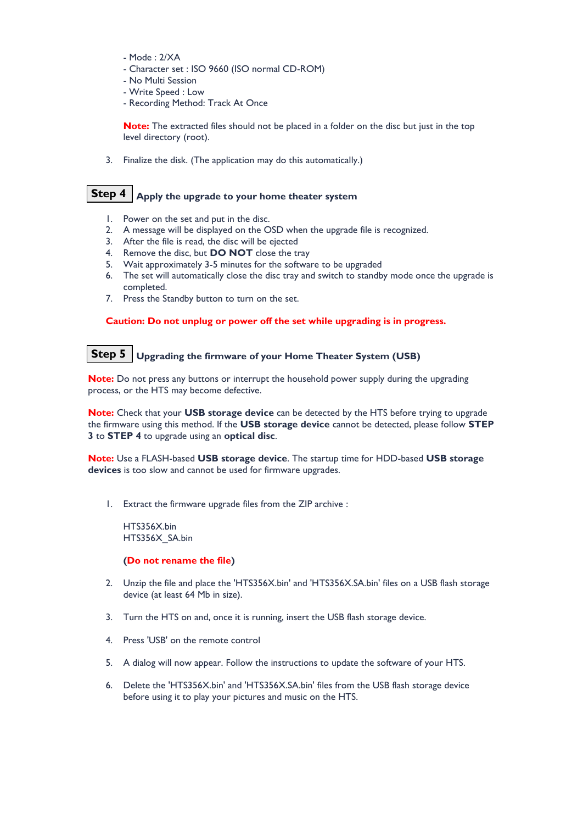- Mode : 2/XA
- Character set : ISO 9660 (ISO normal CD-ROM)
- No Multi Session
- Write Speed : Low
- Recording Method: Track At Once

**Note:** The extracted files should not be placed in a folder on the disc but just in the top level directory (root).

3. Finalize the disk. (The application may do this automatically.)

## **Step 4**  $\vert$  Apply the upgrade to your home theater system

- 1. Power on the set and put in the disc.
- 2. A message will be displayed on the OSD when the upgrade file is recognized.
- 3. After the file is read, the disc will be ejected
- 4. Remove the disc, but **DO NOT** close the tray
- 5. Wait approximately 3-5 minutes for the software to be upgraded
- 6. The set will automatically close the disc tray and switch to standby mode once the upgrade is completed.
- 7. Press the Standby button to turn on the set.

### **Caution: Do not unplug or power off the set while upgrading is in progress.**

## **Upgrading the firmware of your Home Theater System (USB) Step 5**

**Note:** Do not press any buttons or interrupt the household power supply during the upgrading process, or the HTS may become defective.

**Note:** Check that your **USB storage device** can be detected by the HTS before trying to upgrade the firmware using this method. If the **USB storage device** cannot be detected, please follow **STEP 3** to **STEP 4** to upgrade using an **optical disc**.

**Note:** Use a FLASH-based **USB storage device**. The startup time for HDD-based **USB storage devices** is too slow and cannot be used for firmware upgrades.

1. Extract the firmware upgrade files from the ZIP archive :

HTS356X.bin HTS356X\_SA.bin

#### **(Do not rename the file)**

- 2. Unzip the file and place the 'HTS356X.bin' and 'HTS356X.SA.bin' files on a USB flash storage device (at least 64 Mb in size).
- 3. Turn the HTS on and, once it is running, insert the USB flash storage device.
- 4. Press 'USB' on the remote control
- 5. A dialog will now appear. Follow the instructions to update the software of your HTS.
- 6. Delete the 'HTS356X.bin' and 'HTS356X.SA.bin' files from the USB flash storage device before using it to play your pictures and music on the HTS.